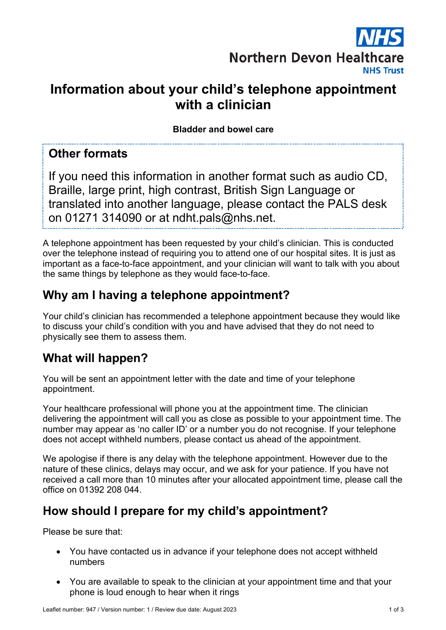

# **Information about your child's telephone appointment with a clinician**

**Bladder and bowel care**

#### **Other formats**

If you need this information in another format such as audio CD, Braille, large print, high contrast, British Sign Language or translated into another language, please contact the PALS desk on 01271 314090 or at ndht.pals@nhs.net.

A telephone appointment has been requested by your child's clinician. This is conducted over the telephone instead of requiring you to attend one of our hospital sites. It is just as important as a face-to-face appointment, and your clinician will want to talk with you about the same things by telephone as they would face-to-face.

### **Why am I having a telephone appointment?**

Your child's clinician has recommended a telephone appointment because they would like to discuss your child's condition with you and have advised that they do not need to physically see them to assess them.

### **What will happen?**

You will be sent an appointment letter with the date and time of your telephone appointment.

Your healthcare professional will phone you at the appointment time. The clinician delivering the appointment will call you as close as possible to your appointment time. The number may appear as 'no caller ID' or a number you do not recognise. If your telephone does not accept withheld numbers, please contact us ahead of the appointment.

We apologise if there is any delay with the telephone appointment. However due to the nature of these clinics, delays may occur, and we ask for your patience. If you have not received a call more than 10 minutes after your allocated appointment time, please call the office on 01392 208 044.

## **How should I prepare for my child's appointment?**

Please be sure that:

- You have contacted us in advance if your telephone does not accept withheld numbers
- You are available to speak to the clinician at your appointment time and that your phone is loud enough to hear when it rings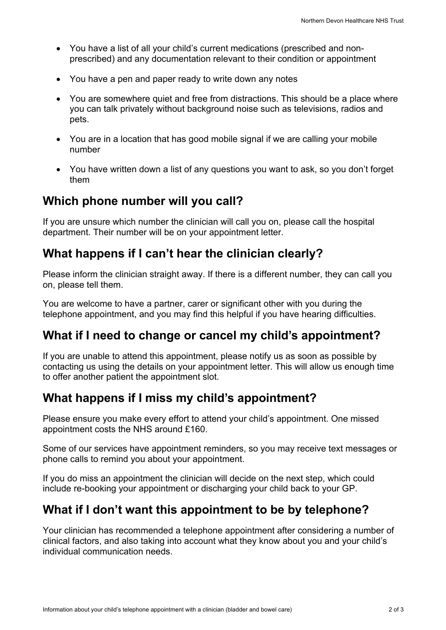- You have a list of all your child's current medications (prescribed and nonprescribed) and any documentation relevant to their condition or appointment
- You have a pen and paper ready to write down any notes
- You are somewhere quiet and free from distractions. This should be a place where you can talk privately without background noise such as televisions, radios and pets.
- You are in a location that has good mobile signal if we are calling your mobile number
- You have written down a list of any questions you want to ask, so you don't forget them

### **Which phone number will you call?**

If you are unsure which number the clinician will call you on, please call the hospital department. Their number will be on your appointment letter.

## **What happens if I can't hear the clinician clearly?**

Please inform the clinician straight away. If there is a different number, they can call you on, please tell them.

You are welcome to have a partner, carer or significant other with you during the telephone appointment, and you may find this helpful if you have hearing difficulties.

## **What if I need to change or cancel my child's appointment?**

If you are unable to attend this appointment, please notify us as soon as possible by contacting us using the details on your appointment letter. This will allow us enough time to offer another patient the appointment slot.

## **What happens if I miss my child's appointment?**

Please ensure you make every effort to attend your child's appointment. One missed appointment costs the NHS around £160.

Some of our services have appointment reminders, so you may receive text messages or phone calls to remind you about your appointment.

If you do miss an appointment the clinician will decide on the next step, which could include re-booking your appointment or discharging your child back to your GP.

## **What if I don't want this appointment to be by telephone?**

Your clinician has recommended a telephone appointment after considering a number of clinical factors, and also taking into account what they know about you and your child's individual communication needs.